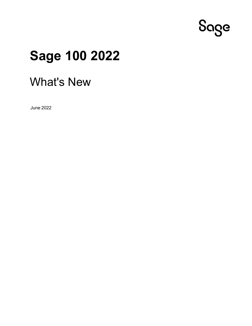

# **Sage 100 2022**

# What's New

June 2022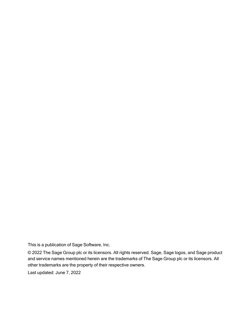This is a publication of Sage Software, Inc.

© 2022 The Sage Group plc or its licensors. All rights reserved. Sage, Sage logos, and Sage product and service names mentioned herein are the trademarks of The Sage Group plc or its licensors. All other trademarks are the property of their respective owners.

Last updated: June 7, 2022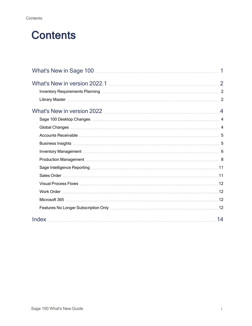# **Contents**

| Production Management material contracts and a series of the series of the series of the series of the series o |  |
|-----------------------------------------------------------------------------------------------------------------|--|
|                                                                                                                 |  |
|                                                                                                                 |  |
|                                                                                                                 |  |
|                                                                                                                 |  |
|                                                                                                                 |  |
|                                                                                                                 |  |
| 14                                                                                                              |  |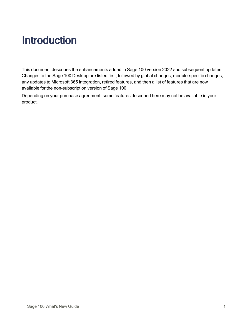# <span id="page-3-0"></span>Introduction

This document describes the enhancements added in Sage 100 version 2022 and subsequent updates. Changes to the Sage 100 Desktop are listed first, followed by global changes, module-specific changes, any updates to Microsoft 365 integration, retired features, and then a list of features that are now available for the non-subscription version of Sage 100.

Depending on your purchase agreement, some features described here may not be available in your product.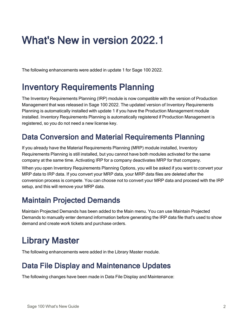# <span id="page-4-0"></span>What's New in version 2022.1

<span id="page-4-1"></span>The following enhancements were added in update 1 for Sage 100 2022.

## Inventory Requirements Planning

The Inventory Requirements Planning (IRP) module is now compatible with the version of Production Management that was released in Sage 100 2022. The updated version of Inventory Requirements Planning is automatically installed with update 1 if you have the Production Management module installed. Inventory Requirements Planning is automatically registered if Production Management is registered, so you do not need a new license key.

#### Data Conversion and Material Requirements Planning

If you already have the Material Requirements Planning (MRP) module installed, Inventory Requirements Planning is still installed, but you cannot have both modules activated for the same company at the same time. Activating IRP for a company deactivates MRP for that company.

When you open Inventory Requirements Planning Options, you will be asked if you want to convert your MRP data to IRP data. If you convert your MRP data, your MRP data files are deleted after the conversion process is compete. You can choose not to convert your MRP data and proceed with the IRP setup, and this will remove your MRP data.

### Maintain Projected Demands

Maintain Projected Demands has been added to the Main menu. You can use Maintain Projected Demands to manually enter demand information before generating the IRP data file that's used to show demand and create work tickets and purchase orders.

# <span id="page-4-2"></span>Library Master

The following enhancements were added in the Library Master module.

### Data File Display and Maintenance Updates

The following changes have been made in Data File Display and Maintenance: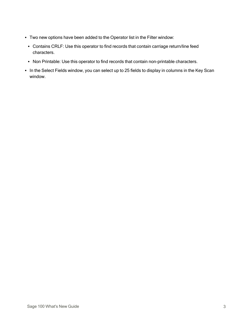- Two new options have been added to the Operator list in the Filter window:
	- Contains CRLF: Use this operator to find records that contain carriage return/line feed characters.
	- Non Printable: Use this operator to find records that contain non-printable characters.
- In the Select Fields window, you can select up to 25 fields to display in columns in the Key Scan window.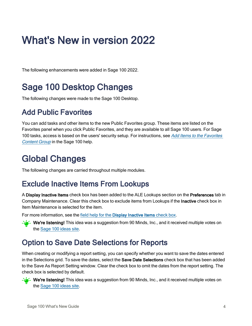# <span id="page-6-0"></span>What's New in version 2022

<span id="page-6-1"></span>The following enhancements were added in Sage 100 2022.

## Sage 100 Desktop Changes

<span id="page-6-3"></span>The following changes were made to the Sage 100 Desktop.

#### Add Public Favorites

You can add tasks and other items to the new Public Favorites group. These items are listed on the Favorites panel when you click Public Favorites, and they are available to all Sage 100 users. For Sage 100 tasks, access is based on the users' security setup. For instructions, see Add Items to the [Favorites](http://help-sage100.na.sage.com/2022/#Subsystems/LM/GlobalProced/Add_Items_to_the_Favorites_List.htm) [Content](http://help-sage100.na.sage.com/2022/#Subsystems/LM/GlobalProced/Add_Items_to_the_Favorites_List.htm) Group in the Sage 100 help.

## <span id="page-6-2"></span>Global Changes

The following changes are carried throughout multiple modules.

#### Exclude Inactive Items From Lookups

A Display Inactive Items check box has been added to the ALE Lookups section on the Preferences tab in Company Maintenance. Clear this check box to exclude items from Lookups if the Inactive check box in Item Maintenance is selected for the item.

For more information, see the field help for the [Display Inactive Items](http://help-sage100.na.sage.com/2022/#Subsystems/LM/LMMainFields/Company_Maintenance.htm#DISPLAY_INACTIVE_ITEMS) check box.

 $-\epsilon$  - We're listening! This idea was a suggestion from 90 Minds, Inc., and it received multiple votes on the Sage 100 [ideas](https://www5.v1ideas.com/TheSageGroupplc/Sage100ERP/) site.

#### Option to Save Date Selections for Reports

When creating or modifying a report setting, you can specify whether you want to save the dates entered in the Selections grid. To save the dates, select the **Save Date Selections** check box that has been added to the Save As Report Setting window. Clear the check box to omit the dates from the report setting. The check box is selected by default.

 $-\epsilon$  - We're listening! This idea was a suggestion from 90 Minds, Inc., and it received multiple votes on the Sage 100 [ideas](https://www5.v1ideas.com/TheSageGroupplc/Sage100ERP/) site.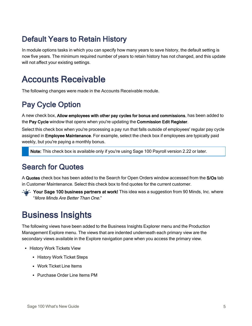### Default Years to Retain History

In module options tasks in which you can specify how many years to save history, the default setting is now five years. The minimum required number of years to retain history has not changed, and this update will not affect your existing settings.

## <span id="page-7-0"></span>Accounts Receivable

The following changes were made in the Accounts Receivable module.

### Pay Cycle Option

A new check box, Allow employees with other pay cycles for bonus and commissions, has been added to the Pay Cycle window that opens when you're updating the Commission Edit Register.

Select this check box when you're processing a pay run that falls outside of employees' regular pay cycle assigned in Employee Maintenance. For example, select the check box if employees are typically paid weekly, but you're paying a monthly bonus.

Note: This check box is available only if you're using Sage 100 Payroll version 2.22 or later.

#### Search for Quotes

A Quotes check box has been added to the Search for Open Orders window accessed from the S/Os tab in Customer Maintenance. Select this check box to find quotes for the current customer.

 $\geq$   $\leq$  Your Sage 100 business partners at work! This idea was a suggestion from 90 Minds, Inc. where "More Minds Are Better Than One."

## <span id="page-7-1"></span>Business Insights

The following views have been added to the Business Insights Explorer menu and the Production Management Explore menu. The views that are indented underneath each primary view are the secondary views available in the Explore navigation pane when you access the primary view.

- History Work Tickets View
	- History Work Ticket Steps
	- Work Ticket Line Items
	- Purchase Order Line Items PM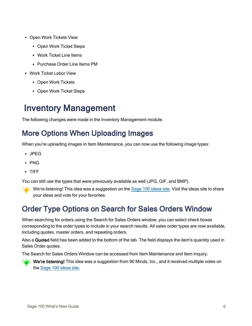- Open Work Tickets View
	- Open Work Ticket Steps
	- Work Ticket Line Items
	- Purchase Order Line Items PM
- Work Ticket Labor View
	- Open Work Tickets
	- Open Work Ticket Steps

## <span id="page-8-0"></span>Inventory Management

The following changes were made in the Inventory Management module.

#### More Options When Uploading Images

When you're uploading images in Item Maintenance, you can now use the following image types:

- JPEG
- PNG
- TIFF

You can still use the types that were previously available as well (JPG, GIF, and BMP).

 $-\epsilon$  We're listening! This idea was a suggestion on the Sage 100 [ideas](https://www5.v1ideas.com/TheSageGroupplc/Sage100ERP/) site. Visit the ideas site to share your ideas and vote for your favorites.

#### Order Type Options on Search for Sales Orders Window

When searching for orders using the Search for Sales Orders window, you can select check boxes corresponding to the order types to include in your search results. All sales order types are now available, including quotes, master orders, and repeating orders.

Also a Quoted field has been added to the bottom of the tab. The field displays the item's quantity used in Sales Order quotes.

The Search for Sales Orders Window can be accessed from Item Maintenance and Item Inquiry.

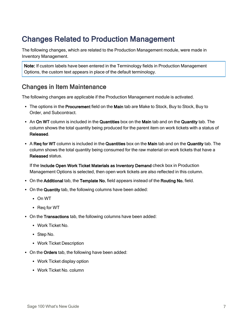### Changes Related to Production Management

The following changes, which are related to the Production Management module, were made in Inventory Management.

Note: If custom labels have been entered in the Terminology fields in Production Management Options, the custom text appears in place of the default terminology.

#### Changes in Item Maintenance

The following changes are applicable if the Production Management module is activated.

- The options in the Procurement field on the Main tab are Make to Stock, Buy to Stock, Buy to Order, and Subcontract.
- An On WT column is included in the Quantities box on the Main tab and on the Quantity tab. The column shows the total quantity being produced for the parent item on work tickets with a status of Released.
- A Req for WT column is included in the Quantities box on the Main tab and on the Quantity tab. The column shows the total quantity being consumed for the raw material on work tickets that have a Released status.

If the Include Open Work Ticket Materials as Inventory Demand check box in Production Management Options is selected, then open work tickets are also reflected in this column.

- On the Additional tab, the Template No. field appears instead of the Routing No. field.
- On the Quantity tab, the following columns have been added:
	- $\cdot$  On WT
	- $\cdot$  Req for WT
- On the Transactions tab, the following columns have been added:
	- Work Ticket No.
	- Step No.
	- Work Ticket Description
- On the Orders tab, the following have been added:
	- Work Ticket display option
	- Work Ticket No. column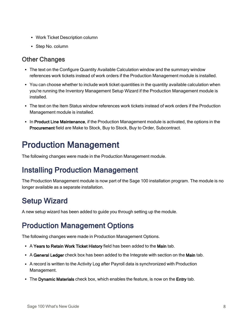- Work Ticket Description column
- Step No. column

#### Other Changes

- The text on the Configure Quantity Available Calculation window and the summary window references work tickets instead of work orders if the Production Management module is installed.
- You can choose whether to include work ticket quantities in the quantity available calculation when you're running the Inventory Management Setup Wizard if the Production Management module is installed.
- The text on the Item Status window references work tickets instead of work orders if the Production Management module is installed.
- In Product Line Maintenance, if the Production Management module is activated, the options in the Procurement field are Make to Stock, Buy to Stock, Buy to Order, Subcontract.

# <span id="page-10-0"></span>Production Management

The following changes were made in the Production Management module.

### Installing Production Management

The Production Management module is now part of the Sage 100 installation program. The module is no longer available as a separate installation.

### Setup Wizard

A new setup wizard has been added to guide you through setting up the module.

### Production Management Options

The following changes were made in Production Management Options.

- A Years to Retain Work Ticket History field has been added to the Main tab.
- A General Ledger check box has been added to the Integrate with section on the Main tab.
- A record is written to the Activity Log after Payroll data is synchronized with Production Management.
- The Dynamic Materials check box, which enables the feature, is now on the Entry tab.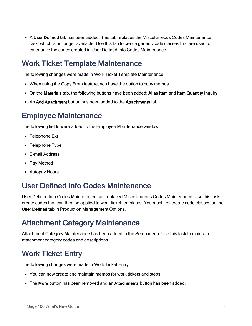• A User Defined tab has been added. This tab replaces the Miscellaneous Codes Maintenance task, which is no longer available. Use this tab to create generic code classes that are used to categorize the codes created in User Defined Info Codes Maintenance.

#### Work Ticket Template Maintenance

The following changes were made in Work Ticket Template Maintenance.

- When using the Copy From feature, you have the option to copy memos.
- On the Materials tab, the following buttons have been added: Alias Item and Item Quantity Inquiry
- An Add Attachment button has been added to the Attachments tab.

#### Employee Maintenance

The following fields were added to the Employee Maintenance window:

- Telephone Ext
- Telephone Type
- E-mail Address
- Pay Method
- Autopay Hours

#### User Defined Info Codes Maintenance

User Defined Info Codes Maintenance has replaced Miscellaneous Codes Maintenance. Use this task to create codes that can then be applied to work ticket templates. You must first create code classes on the User Defined tab in Production Management Options.

#### Attachment Category Maintenance

Attachment Category Maintenance has been added to the Setup menu. Use this task to maintain attachment category codes and descriptions.

#### Work Ticket Entry

The following changes were made in Work Ticket Entry.

- You can now create and maintain memos for work tickets and steps.
- The More button has been removed and an Attachments button has been added.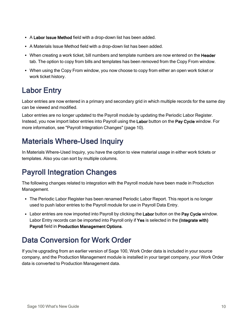- A Labor Issue Method field with a drop-down list has been added.
- A Materials Issue Method field with a drop-down list has been added.
- When creating a work ticket, bill numbers and template numbers are now entered on the Header tab. The option to copy from bills and templates has been removed from the Copy From window.
- When using the Copy From window, you now choose to copy from either an open work ticket or work ticket history.

### Labor Entry

Labor entries are now entered in a primary and secondary grid in which multiple records for the same day can be viewed and modified.

Labor entries are no longer updated to the Payroll module by updating the Periodic Labor Register. Instead, you now import labor entries into Payroll using the Labor button on the Pay Cycle window. For more information, see "Payroll [Integration](#page-12-0) Changes" (page 10).

### Materials Where-Used Inquiry

<span id="page-12-0"></span>In Materials Where-Used Inquiry, you have the option to view material usage in either work tickets or templates. Also you can sort by multiple columns.

### Payroll Integration Changes

The following changes related to integration with the Payroll module have been made in Production Management.

- The Periodic Labor Register has been renamed Periodic Labor Report. This report is no longer used to push labor entries to the Payroll module for use in Payroll Data Entry.
- Labor entries are now imported into Payroll by clicking the Labor button on the Pay Cycle window. Labor Entry records can be imported into Payroll only if Yes is selected in the (Integrate with) Payroll field in Production Management Options.

### Data Conversion for Work Order

If you're upgrading from an earlier version of Sage 100, Work Order data is included in your source company, and the Production Management module is installed in your target company, your Work Order data is converted to Production Management data.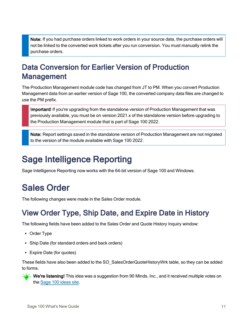Note: If you had purchase orders linked to work orders in your source data, the purchase orders will not be linked to the converted work tickets after you run conversion. You must manually relink the purchase orders.

### Data Conversion for Earlier Version of Production Management

The Production Management module code has changed from JT to PM. When you convert Production Management data from an earlier version of Sage 100, the converted company data files are changed to use the PM prefix.

Important! If you're upgrading from the standalone version of Production Management that was previously available, you must be on version 2021.x of the standalone version before upgrading to the Production Management module that is part of Sage 100 2022.

Note: Report settings saved in the standalone version of Production Management are not migrated to the version of the module available with Sage 100 2022.

## <span id="page-13-0"></span>Sage Intelligence Reporting

<span id="page-13-1"></span>Sage Intelligence Reporting now works with the 64-bit version of Sage 100 and Windows.

# Sales Order

The following changes were made in the Sales Order module.

### View Order Type, Ship Date, and Expire Date in History

The following fields have been added to the Sales Order and Quote History Inquiry window:

- Order Type
- Ship Date (for standard orders and back orders)
- Expire Date (for quotes)

These fields have also been added to the SO\_SalesOrderQuoteHistoryWrk table, so they can be added to forms.

 $-\sqrt{2}$  We're listening! This idea was a suggestion from 90 Minds, Inc., and it received multiple votes on the Sage 100 [ideas](https://www5.v1ideas.com/TheSageGroupplc/Sage100ERP/) site.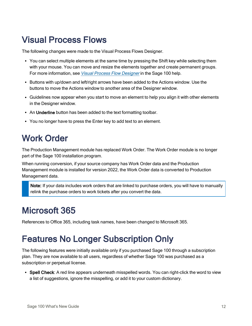## <span id="page-14-0"></span>Visual Process Flows

The following changes were made to the Visual Process Flows Designer.

- You can select multiple elements at the same time by pressing the Shift key while selecting them with your mouse. You can move and resize the elements together and create permanent groups. For more information, see Visual Process Flow [Designer](http://help-sage100.na.sage.com/2022/#Subsystems/PF/PFConcepts/Visual_Process_Flow_Designer.htm) in the Sage 100 help.
- Buttons with up/down and left/right arrows have been added to the Actions window. Use the buttons to move the Actions window to another area of the Designer window.
- Guidelines now appear when you start to move an element to help you align it with other elements in the Designer window.
- An Underline button has been added to the text formatting toolbar.
- <span id="page-14-1"></span>• You no longer have to press the Enter key to add text to an element.

## Work Order

The Production Management module has replaced Work Order. The Work Order module is no longer part of the Sage 100 installation program.

When running conversion, if your source company has Work Order data and the Production Management module is installed for version 2022, the Work Order data is converted to Production Management data.

Note: If your data includes work orders that are linked to purchase orders, you will have to manually relink the purchase orders to work tickets after you convert the data.

### <span id="page-14-2"></span>Microsoft 365

<span id="page-14-3"></span>References to Office 365, including task names, have been changed to Microsoft 365.

## Features No Longer Subscription Only

The following features were initially available only if you purchased Sage 100 through a subscription plan. They are now available to all users, regardless of whether Sage 100 was purchased as a subscription or perpetual license.

• Spell Check: A red line appears underneath misspelled words. You can right-click the word to view a list of suggestions, ignore the misspelling, or add it to your custom dictionary.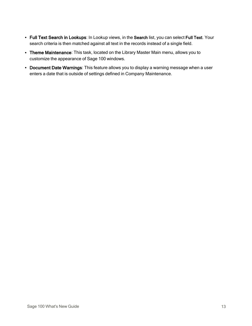- Full Text Search in Lookups: In Lookup views, in the Search list, you can select Full Text. Your search criteria is then matched against all text in the records instead of a single field.
- Theme Maintenance: This task, located on the Library Master Main menu, allows you to customize the appearance of Sage 100 windows.
- Document Date Warnings: This feature allows you to display a warning message when a user enters a date that is outside of settings defined in Company Maintenance.